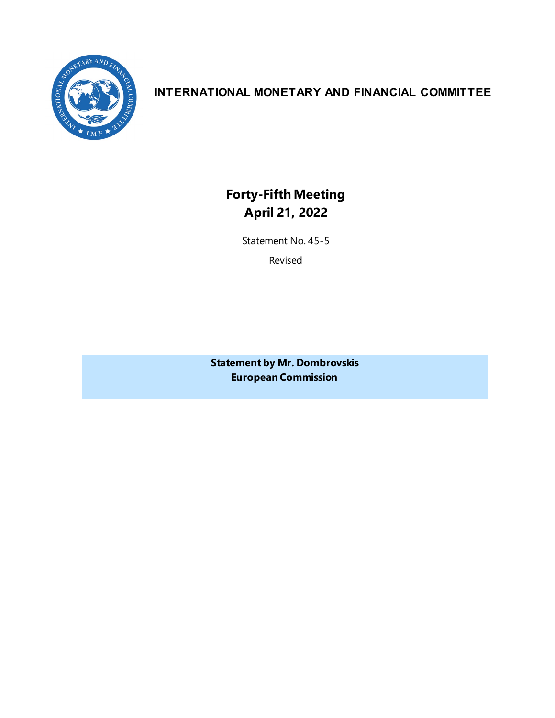

## **INTERNATIONAL MONETARY AND FINANCIAL COMMITTEE**

**Forty-Fifth Meeting April 21, 2022**

Statement No. 45-5

Revised

**Statement by Mr. Dombrovskis European Commission**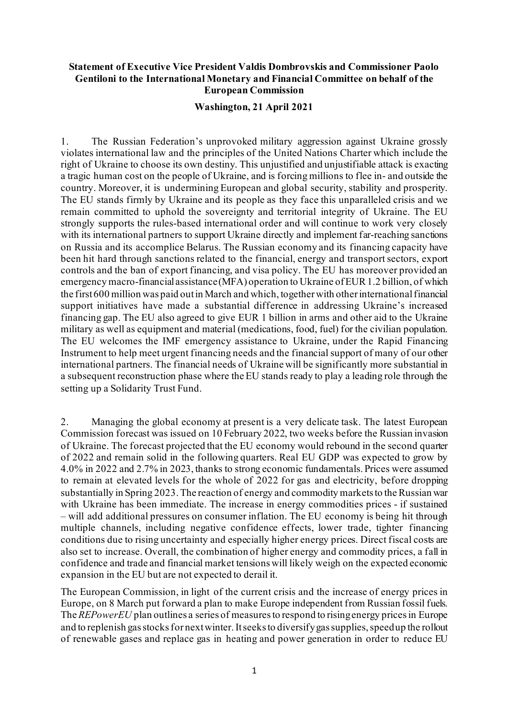## **Statement of Executive Vice President Valdis Dombrovskis and Commissioner Paolo Gentiloni to the International Monetary and Financial Committee on behalf of the European Commission**

## **Washington, 21 April 2021**

1. The Russian Federation's unprovoked military aggression against Ukraine grossly violates international law and the principles of the United Nations Charter which include the right of Ukraine to choose its own destiny. This unjustified and unjustifiable attack is exacting a tragic human cost on the people of Ukraine, and is forcing millions to flee in- and outside the country. Moreover, it is undermining European and global security, stability and prosperity. The EU stands firmly by Ukraine and its people as they face this unparalleled crisis and we remain committed to uphold the sovereignty and territorial integrity of Ukraine. The EU strongly supports the rules-based international order and will continue to work very closely with its international partners to support Ukraine directly and implement far-reaching sanctions on Russia and its accomplice Belarus. The Russian economy and its financing capacity have been hit hard through sanctions related to the financial, energy and transport sectors, export controls and the ban of export financing, and visa policy. The EU has moreover provided an emergency macro-financial assistance(MFA) operation to Ukraine of EUR 1.2 billion, of which the first 600 million was paid out in March and which, together with other international financial support initiatives have made a substantial difference in addressing Ukraine's increased financing gap. The EU also agreed to give EUR 1 billion in arms and other aid to the Ukraine military as well as equipment and material (medications, food, fuel) for the civilian population. The EU welcomes the IMF emergency assistance to Ukraine, under the Rapid Financing Instrument to help meet urgent financing needs and the financial support of many of our other international partners. The financial needs of Ukraine will be significantly more substantial in a subsequent reconstruction phase where the EU stands ready to play a leading role through the setting up a Solidarity Trust Fund.

2. Managing the global economy at present is a very delicate task. The latest European Commission forecast was issued on 10 February 2022, two weeks before the Russian invasion of Ukraine. The forecast projected that the EU economy would rebound in the second quarter of 2022 and remain solid in the following quarters. Real EU GDP was expected to grow by 4.0% in 2022 and 2.7% in 2023, thanks to strong economic fundamentals. Prices were assumed to remain at elevated levels for the whole of 2022 for gas and electricity, before dropping substantially in Spring 2023. The reaction of energy and commodity markets to the Russian war with Ukraine has been immediate. The increase in energy commodities prices - if sustained – will add additional pressures on consumer inflation. The EU economy is being hit through multiple channels, including negative confidence effects, lower trade, tighter financing conditions due to rising uncertainty and especially higher energy prices. Direct fiscal costs are also set to increase. Overall, the combination of higher energy and commodity prices, a fall in confidence and trade and financial market tensions will likely weigh on the expected economic expansion in the EU but are not expected to derail it.

The European Commission, in light of the current crisis and the increase of energy prices in Europe, on 8 March put forward a plan to make Europe independent from Russian fossil fuels. The *REPowerEU* plan outlines a series of measures to respond to rising energy prices in Europe and to replenish gas stocks for next winter. It seeksto diversify gas supplies, speed up the rollout of renewable gases and replace gas in heating and power generation in order to reduce EU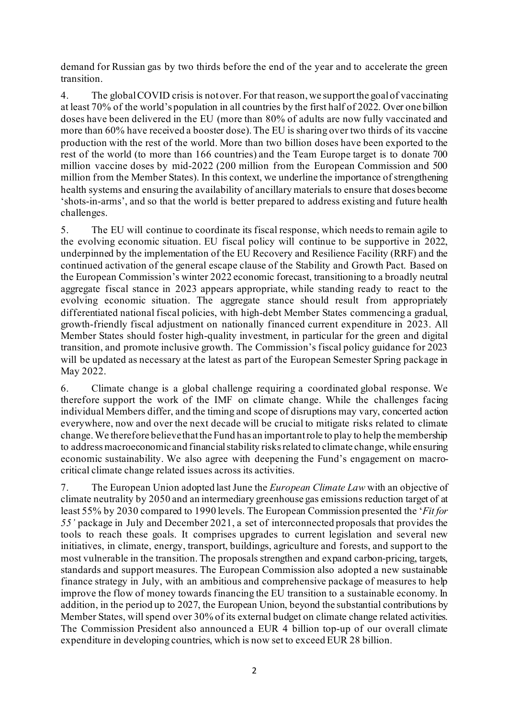demand for Russian gas by two thirds before the end of the year and to accelerate the green transition.

4. The global COVID crisis is not over. For that reason, we support the goal of vaccinating at least 70% of the world's population in all countries by the first half of 2022. Over one billion doses have been delivered in the EU (more than 80% of adults are now fully vaccinated and more than 60% have received a booster dose). The EU is sharing over two thirds of its vaccine production with the rest of the world. More than two billion doses have been exported to the rest of the world (to more than 166 countries) and the Team Europe target is to donate 700 million vaccine doses by mid-2022 (200 million from the European Commission and 500 million from the Member States). In this context, we underline the importance of strengthening health systems and ensuring the availability of ancillary materials to ensure that doses become 'shots-in-arms', and so that the world is better prepared to address existing and future health challenges.

5. The EU will continue to coordinate its fiscal response, which needs to remain agile to the evolving economic situation. EU fiscal policy will continue to be supportive in 2022, underpinned by the implementation of the EU Recovery and Resilience Facility (RRF) and the continued activation of the general escape clause of the Stability and Growth Pact. Based on the European Commission's winter 2022 economic forecast, transitioning to a broadly neutral aggregate fiscal stance in 2023 appears appropriate, while standing ready to react to the evolving economic situation. The aggregate stance should result from appropriately differentiated national fiscal policies, with high-debt Member States commencing a gradual, growth-friendly fiscal adjustment on nationally financed current expenditure in 2023. All Member States should foster high-quality investment, in particular for the green and digital transition, and promote inclusive growth. The Commission's fiscal policy guidance for 2023 will be updated as necessary at the latest as part of the European Semester Spring package in May 2022.

6. Climate change is a global challenge requiring a coordinated global response. We therefore support the work of the IMF on climate change. While the challenges facing individual Members differ, and the timing and scope of disruptions may vary, concerted action everywhere, now and over the next decade will be crucial to mitigate risks related to climate change. We therefore believe that the Fund has an important role to play to help the membership to address macroeconomic and financial stability risks related to climate change, while ensuring economic sustainability. We also agree with deepening the Fund's engagement on macrocritical climate change related issues across its activities.

7. The European Union adopted lastJune the *European Climate Law* with an objective of climate neutrality by 2050 and an intermediary greenhouse gas emissions reduction target of at least 55% by 2030 compared to 1990 levels. The European Commission presented the '*Fit for 55'* package in July and December 2021, a set of interconnected proposals that provides the tools to reach these goals. It comprises upgrades to current legislation and several new initiatives, in climate, energy, transport, buildings, agriculture and forests, and support to the most vulnerable in the transition. The proposals strengthen and expand carbon-pricing, targets, standards and support measures. The European Commission also adopted a new sustainable finance strategy in July, with an ambitious and comprehensive package of measures to help improve the flow of money towards financing the EU transition to a sustainable economy. In addition, in the period up to 2027, the European Union, beyond the substantial contributions by Member States, will spend over 30% of its external budget on climate change related activities. The Commission President also announced a EUR 4 billion top-up of our overall climate expenditure in developing countries, which is now set to exceed EUR 28 billion.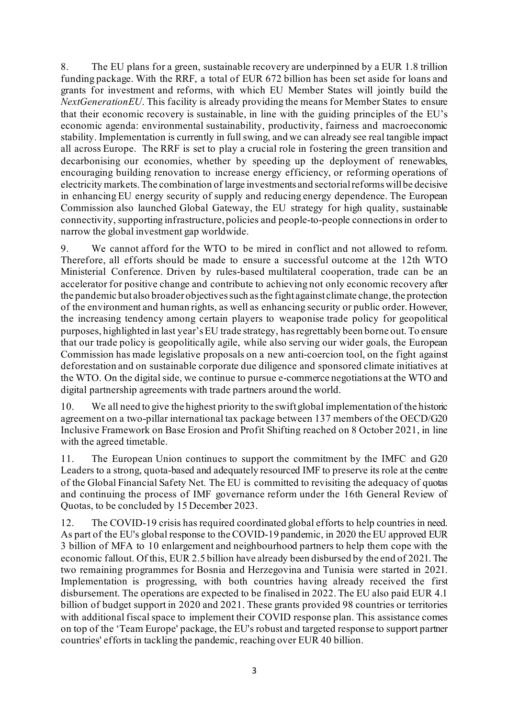8. The EU plans for a green, sustainable recovery are underpinned by a EUR 1.8 trillion funding package. With the RRF, a total of EUR 672 billion has been set aside for loans and grants for investment and reforms, with which EU Member States will jointly build the *NextGenerationEU*. This facility is already providing the means for Member States to ensure that their economic recovery is sustainable, in line with the guiding principles of the EU's economic agenda: environmental sustainability, productivity, fairness and macroeconomic stability. Implementation is currently in full swing, and we can already see real tangible impact all across Europe. The RRF is set to play a crucial role in fostering the green transition and decarbonising our economies, whether by speeding up the deployment of renewables, encouraging building renovation to increase energy efficiency, or reforming operations of electricity markets. The combination of large investments and sectorial reforms will be decisive in enhancing EU energy security of supply and reducing energy dependence. The European Commission also launched Global Gateway, the EU strategy for high quality, sustainable connectivity, supporting infrastructure, policies and people-to-people connectionsin order to narrow the global investment gap worldwide.

9. We cannot afford for the WTO to be mired in conflict and not allowed to reform. Therefore, all efforts should be made to ensure a successful outcome at the 12th WTO Ministerial Conference. Driven by rules-based multilateral cooperation, trade can be an accelerator for positive change and contribute to achieving not only economic recovery after the pandemic but also broader objectives such as the fight against climate change, the protection of the environment and human rights, as well as enhancing security or public order. However, the increasing tendency among certain players to weaponise trade policy for geopolitical purposes, highlighted in last year's EU trade strategy, has regrettably been borne out. To ensure that our trade policy is geopolitically agile, while also serving our wider goals, the European Commission has made legislative proposals on a new anti-coercion tool, on the fight against deforestation and on sustainable corporate due diligence and sponsored climate initiatives at the WTO. On the digital side, we continue to pursue e-commerce negotiations at the WTO and digital partnership agreements with trade partners around the world.

10. We all need to give the highest priority to the swift global implementation of the historic agreement on a two-pillar international tax package between 137 members of the OECD/G20 Inclusive Framework on Base Erosion and Profit Shifting reached on 8 October 2021, in line with the agreed timetable.

11. The European Union continues to support the commitment by the IMFC and G20 Leaders to a strong, quota-based and adequately resourced IMF to preserve its role at the centre of the Global Financial Safety Net. The EU is committed to revisiting the adequacy of quotas and continuing the process of IMF governance reform under the 16th General Review of Quotas, to be concluded by 15 December 2023.

12. The COVID-19 crisis has required coordinated global efforts to help countries in need. As part of the EU's global response to the COVID-19 pandemic, in 2020 the EU approved EUR 3 billion of MFA to 10 enlargement and neighbourhood partners to help them cope with the economic fallout. Of this, EUR 2.5 billion have already been disbursed by the end of 2021.The two remaining programmes for Bosnia and Herzegovina and Tunisia were started in 2021. Implementation is progressing, with both countries having already received the first disbursement. The operations are expected to be finalised in 2022. The EU also paid EUR 4.1 billion of budget support in 2020 and 2021. These grants provided 98 countries or territories with additional fiscal space to implement their COVID response plan. This assistance comes on top of the 'Team Europe' package, the EU's robust and targeted response to support partner countries' efforts in tackling the pandemic, reaching over EUR 40 billion.